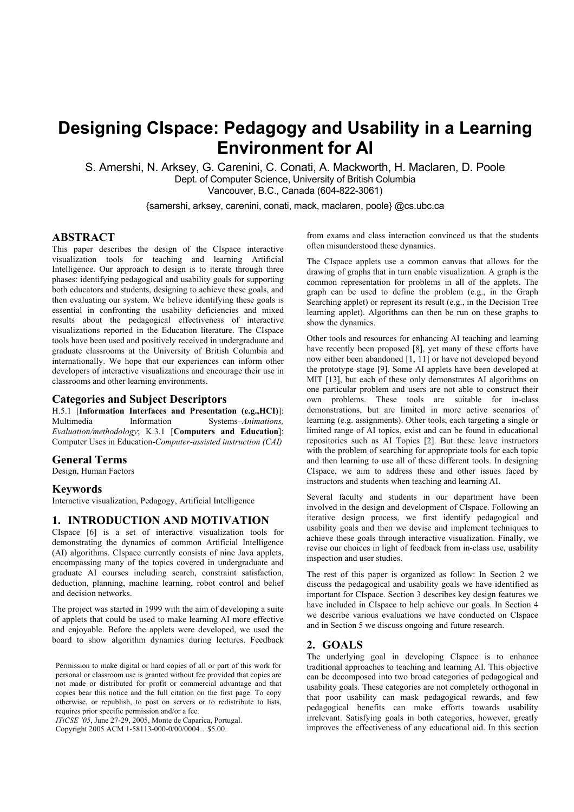# Designing CIspace: Pedagogy and Usability in a Learning Environment for AI

S. Amershi, N. Arksey, G. Carenini, C. Conati, A. Mackworth, H. Maclaren, D. Poole Dept. of Computer Science, University of British Columbia Vancouver, B.C., Canada (604-822-3061)

{samershi, arksey, carenini, conati, mack, maclaren, poole} @cs.ubc.ca

#### ABSTRACT

This paper describes the design of the CIspace interactive visualization tools for teaching and learning Artificial Intelligence. Our approach to design is to iterate through three phases: identifying pedagogical and usability goals for supporting both educators and students, designing to achieve these goals, and then evaluating our system. We believe identifying these goals is essential in confronting the usability deficiencies and mixed results about the pedagogical effectiveness of interactive visualizations reported in the Education literature. The CIspace tools have been used and positively received in undergraduate and graduate classrooms at the University of British Columbia and internationally. We hope that our experiences can inform other developers of interactive visualizations and encourage their use in classrooms and other learning environments.

## Categories and Subject Descriptors

H.5.1 [Information Interfaces and Presentation (e.g.,HCI)]: Multimedia Information Systems–Animations, Evaluation/methodology; K.3.1 [Computers and Education]: Computer Uses in Education-Computer-assisted instruction (CAI)

#### General Terms

Design, Human Factors

## Keywords

Interactive visualization, Pedagogy, Artificial Intelligence

#### 1. INTRODUCTION AND MOTIVATION

CIspace [6] is a set of interactive visualization tools for demonstrating the dynamics of common Artificial Intelligence (AI) algorithms. CIspace currently consists of nine Java applets, encompassing many of the topics covered in undergraduate and graduate AI courses including search, constraint satisfaction, deduction, planning, machine learning, robot control and belief and decision networks.

The project was started in 1999 with the aim of developing a suite of applets that could be used to make learning AI more effective and enjoyable. Before the applets were developed, we used the board to show algorithm dynamics during lectures. Feedback

ITiCSE '05, June 27-29, 2005, Monte de Caparica, Portugal.

Copyright 2005 ACM 1-58113-000-0/00/0004…\$5.00.

from exams and class interaction convinced us that the students often misunderstood these dynamics.

The CIspace applets use a common canvas that allows for the drawing of graphs that in turn enable visualization. A graph is the common representation for problems in all of the applets. The graph can be used to define the problem (e.g., in the Graph Searching applet) or represent its result (e.g., in the Decision Tree learning applet). Algorithms can then be run on these graphs to show the dynamics.

Other tools and resources for enhancing AI teaching and learning have recently been proposed [8], yet many of these efforts have now either been abandoned [1, 11] or have not developed beyond the prototype stage [9]. Some AI applets have been developed at MIT [13], but each of these only demonstrates AI algorithms on one particular problem and users are not able to construct their own problems. These tools are suitable for in-class demonstrations, but are limited in more active scenarios of learning (e.g. assignments). Other tools, each targeting a single or limited range of AI topics, exist and can be found in educational repositories such as AI Topics [2]. But these leave instructors with the problem of searching for appropriate tools for each topic and then learning to use all of these different tools. In designing CIspace, we aim to address these and other issues faced by instructors and students when teaching and learning AI.

Several faculty and students in our department have been involved in the design and development of CIspace. Following an iterative design process, we first identify pedagogical and usability goals and then we devise and implement techniques to achieve these goals through interactive visualization. Finally, we revise our choices in light of feedback from in-class use, usability inspection and user studies.

The rest of this paper is organized as follow: In Section 2 we discuss the pedagogical and usability goals we have identified as important for CIspace. Section 3 describes key design features we have included in CIspace to help achieve our goals. In Section 4 we describe various evaluations we have conducted on CIspace and in Section 5 we discuss ongoing and future research.

## 2. GOALS

The underlying goal in developing CIspace is to enhance traditional approaches to teaching and learning AI. This objective can be decomposed into two broad categories of pedagogical and usability goals. These categories are not completely orthogonal in that poor usability can mask pedagogical rewards, and few pedagogical benefits can make efforts towards usability irrelevant. Satisfying goals in both categories, however, greatly improves the effectiveness of any educational aid. In this section

Permission to make digital or hard copies of all or part of this work for personal or classroom use is granted without fee provided that copies are not made or distributed for profit or commercial advantage and that copies bear this notice and the full citation on the first page. To copy otherwise, or republish, to post on servers or to redistribute to lists, requires prior specific permission and/or a fee.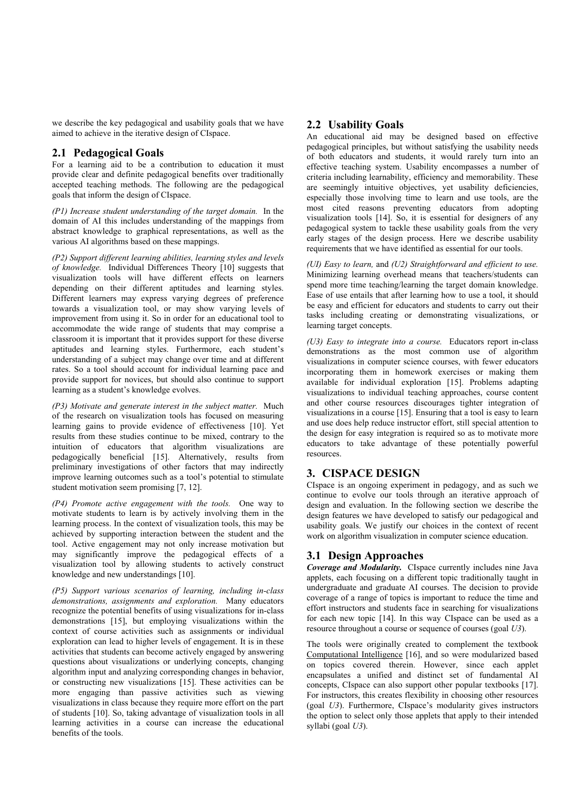we describe the key pedagogical and usability goals that we have aimed to achieve in the iterative design of CIspace.

## 2.1 Pedagogical Goals

For a learning aid to be a contribution to education it must provide clear and definite pedagogical benefits over traditionally accepted teaching methods. The following are the pedagogical goals that inform the design of CIspace.

(P1) Increase student understanding of the target domain. In the domain of AI this includes understanding of the mappings from abstract knowledge to graphical representations, as well as the various AI algorithms based on these mappings.

(P2) Support different learning abilities, learning styles and levels of knowledge. Individual Differences Theory [10] suggests that visualization tools will have different effects on learners depending on their different aptitudes and learning styles. Different learners may express varying degrees of preference towards a visualization tool, or may show varying levels of improvement from using it. So in order for an educational tool to accommodate the wide range of students that may comprise a classroom it is important that it provides support for these diverse aptitudes and learning styles. Furthermore, each student's understanding of a subject may change over time and at different rates. So a tool should account for individual learning pace and provide support for novices, but should also continue to support learning as a student's knowledge evolves.

(P3) Motivate and generate interest in the subject matter. Much of the research on visualization tools has focused on measuring learning gains to provide evidence of effectiveness [10]. Yet results from these studies continue to be mixed, contrary to the intuition of educators that algorithm visualizations are pedagogically beneficial [15]. Alternatively, results from preliminary investigations of other factors that may indirectly improve learning outcomes such as a tool's potential to stimulate student motivation seem promising [7, 12].

(P4) Promote active engagement with the tools. One way to motivate students to learn is by actively involving them in the learning process. In the context of visualization tools, this may be achieved by supporting interaction between the student and the tool. Active engagement may not only increase motivation but may significantly improve the pedagogical effects of a visualization tool by allowing students to actively construct knowledge and new understandings [10].

(P5) Support various scenarios of learning, including in-class demonstrations, assignments and exploration. Many educators recognize the potential benefits of using visualizations for in-class demonstrations [15], but employing visualizations within the context of course activities such as assignments or individual exploration can lead to higher levels of engagement. It is in these activities that students can become actively engaged by answering questions about visualizations or underlying concepts, changing algorithm input and analyzing corresponding changes in behavior, or constructing new visualizations [15]. These activities can be more engaging than passive activities such as viewing visualizations in class because they require more effort on the part of students [10]. So, taking advantage of visualization tools in all learning activities in a course can increase the educational benefits of the tools.

## 2.2 Usability Goals

An educational aid may be designed based on effective pedagogical principles, but without satisfying the usability needs of both educators and students, it would rarely turn into an effective teaching system. Usability encompasses a number of criteria including learnability, efficiency and memorability. These are seemingly intuitive objectives, yet usability deficiencies, especially those involving time to learn and use tools, are the most cited reasons preventing educators from adopting visualization tools [14]. So, it is essential for designers of any pedagogical system to tackle these usability goals from the very early stages of the design process. Here we describe usability requirements that we have identified as essential for our tools.

(UI) Easy to learn, and (U2) Straightforward and efficient to use. Minimizing learning overhead means that teachers/students can spend more time teaching/learning the target domain knowledge. Ease of use entails that after learning how to use a tool, it should be easy and efficient for educators and students to carry out their tasks including creating or demonstrating visualizations, or learning target concepts.

(U3) Easy to integrate into a course. Educators report in-class demonstrations as the most common use of algorithm visualizations in computer science courses, with fewer educators incorporating them in homework exercises or making them available for individual exploration [15]. Problems adapting visualizations to individual teaching approaches, course content and other course resources discourages tighter integration of visualizations in a course [15]. Ensuring that a tool is easy to learn and use does help reduce instructor effort, still special attention to the design for easy integration is required so as to motivate more educators to take advantage of these potentially powerful resources.

## 3. CISPACE DESIGN

CIspace is an ongoing experiment in pedagogy, and as such we continue to evolve our tools through an iterative approach of design and evaluation. In the following section we describe the design features we have developed to satisfy our pedagogical and usability goals. We justify our choices in the context of recent work on algorithm visualization in computer science education.

## 3.1 Design Approaches

Coverage and Modularity. CIspace currently includes nine Java applets, each focusing on a different topic traditionally taught in undergraduate and graduate AI courses. The decision to provide coverage of a range of topics is important to reduce the time and effort instructors and students face in searching for visualizations for each new topic [14]. In this way CIspace can be used as a resource throughout a course or sequence of courses (goal U3).

The tools were originally created to complement the textbook Computational Intelligence [16], and so were modularized based on topics covered therein. However, since each applet encapsulates a unified and distinct set of fundamental AI concepts, CIspace can also support other popular textbooks [17]. For instructors, this creates flexibility in choosing other resources (goal U3). Furthermore, CIspace's modularity gives instructors the option to select only those applets that apply to their intended syllabi (goal U3).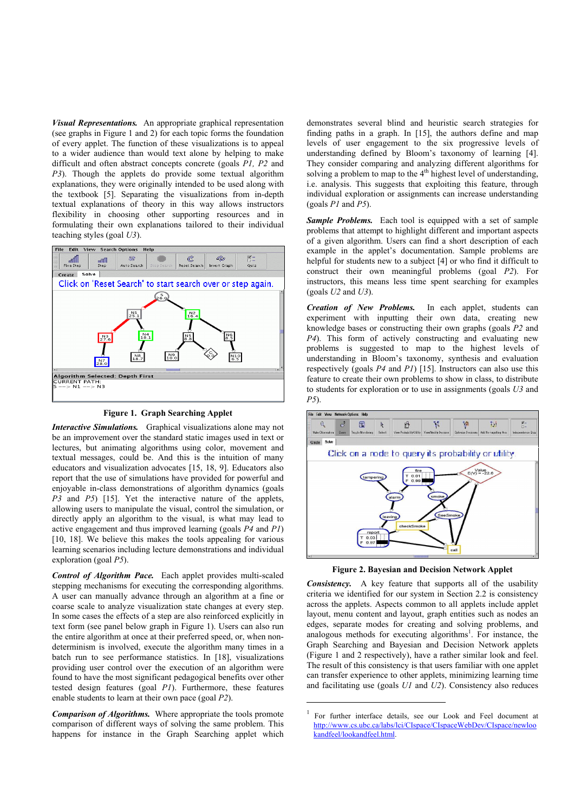Visual Representations. An appropriate graphical representation (see graphs in Figure 1 and 2) for each topic forms the foundation of every applet. The function of these visualizations is to appeal to a wider audience than would text alone by helping to make difficult and often abstract concepts concrete (goals P1, P2 and P3). Though the applets do provide some textual algorithm explanations, they were originally intended to be used along with the textbook [5]. Separating the visualizations from in-depth textual explanations of theory in this way allows instructors flexibility in choosing other supporting resources and in formulating their own explanations tailored to their individual teaching styles (goal U3).



Figure 1. Graph Searching Applet

Interactive Simulations. Graphical visualizations alone may not be an improvement over the standard static images used in text or lectures, but animating algorithms using color, movement and textual messages, could be. And this is the intuition of many educators and visualization advocates [15, 18, 9]. Educators also report that the use of simulations have provided for powerful and enjoyable in-class demonstrations of algorithm dynamics (goals P3 and P5) [15]. Yet the interactive nature of the applets, allowing users to manipulate the visual, control the simulation, or directly apply an algorithm to the visual, is what may lead to active engagement and thus improved learning (goals P4 and P1) [10, 18]. We believe this makes the tools appealing for various learning scenarios including lecture demonstrations and individual exploration (goal P5).

Control of Algorithm Pace. Each applet provides multi-scaled stepping mechanisms for executing the corresponding algorithms. A user can manually advance through an algorithm at a fine or coarse scale to analyze visualization state changes at every step. In some cases the effects of a step are also reinforced explicitly in text form (see panel below graph in Figure 1). Users can also run the entire algorithm at once at their preferred speed, or, when nondeterminism is involved, execute the algorithm many times in a batch run to see performance statistics. In [18], visualizations providing user control over the execution of an algorithm were found to have the most significant pedagogical benefits over other tested design features (goal P1). Furthermore, these features enable students to learn at their own pace (goal P2).

**Comparison of Algorithms.** Where appropriate the tools promote comparison of different ways of solving the same problem. This happens for instance in the Graph Searching applet which demonstrates several blind and heuristic search strategies for finding paths in a graph. In [15], the authors define and map levels of user engagement to the six progressive levels of understanding defined by Bloom's taxonomy of learning [4]. They consider comparing and analyzing different algorithms for solving a problem to map to the  $4<sup>th</sup>$  highest level of understanding, i.e. analysis. This suggests that exploiting this feature, through individual exploration or assignments can increase understanding (goals  $P1$  and  $P5$ ).

Sample Problems. Each tool is equipped with a set of sample problems that attempt to highlight different and important aspects of a given algorithm. Users can find a short description of each example in the applet's documentation. Sample problems are helpful for students new to a subject [4] or who find it difficult to construct their own meaningful problems (goal P2). For instructors, this means less time spent searching for examples (goals  $U2$  and  $U3$ ).

Creation of New Problems. In each applet, students can experiment with inputting their own data, creating new knowledge bases or constructing their own graphs (goals P2 and P4). This form of actively constructing and evaluating new problems is suggested to map to the highest levels of understanding in Bloom's taxonomy, synthesis and evaluation respectively (goals P4 and P1) [15]. Instructors can also use this feature to create their own problems to show in class, to distribute to students for exploration or to use in assignments (goals U3 and P5).



Figure 2. Bayesian and Decision Network Applet

Consistency. A key feature that supports all of the usability criteria we identified for our system in Section 2.2 is consistency across the applets. Aspects common to all applets include applet layout, menu content and layout, graph entities such as nodes an edges, separate modes for creating and solving problems, and analogous methods for executing algorithms<sup>1</sup>. For instance, the Graph Searching and Bayesian and Decision Network applets (Figure 1 and 2 respectively), have a rather similar look and feel. The result of this consistency is that users familiar with one applet can transfer experience to other applets, minimizing learning time and facilitating use (goals U1 and U2). Consistency also reduces

l

<sup>1</sup> For further interface details, see our Look and Feel document at http://www.cs.ubc.ca/labs/lci/CIspace/CIspaceWebDev/CIspace/newloo kandfeel/lookandfeel.html.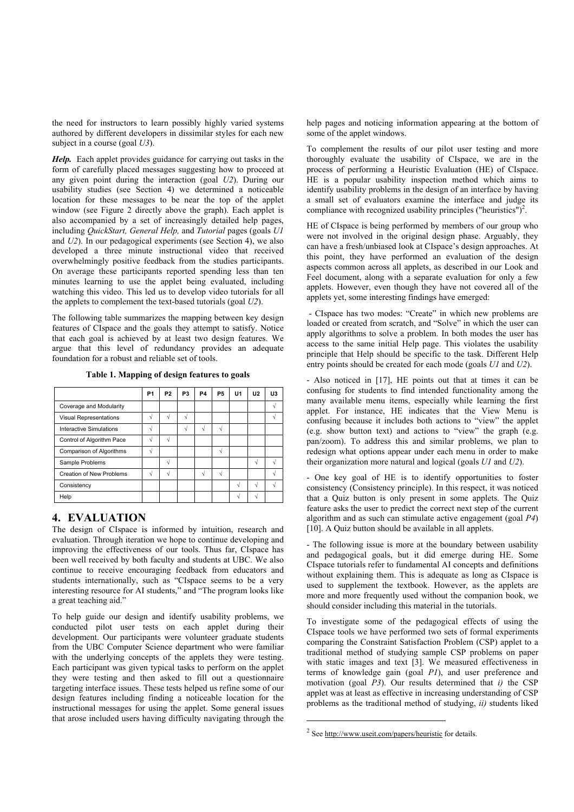the need for instructors to learn possibly highly varied systems authored by different developers in dissimilar styles for each new subject in a course (goal  $U3$ ).

Help. Each applet provides guidance for carrying out tasks in the form of carefully placed messages suggesting how to proceed at any given point during the interaction (goal  $U_2$ ). During our usability studies (see Section 4) we determined a noticeable location for these messages to be near the top of the applet window (see Figure 2 directly above the graph). Each applet is also accompanied by a set of increasingly detailed help pages, including QuickStart, General Help, and Tutorial pages (goals U1 and U2). In our pedagogical experiments (see Section 4), we also developed a three minute instructional video that received overwhelmingly positive feedback from the studies participants. On average these participants reported spending less than ten minutes learning to use the applet being evaluated, including watching this video. This led us to develop video tutorials for all the applets to complement the text-based tutorials (goal  $U2$ ).

The following table summarizes the mapping between key design features of CIspace and the goals they attempt to satisfy. Notice that each goal is achieved by at least two design features. We argue that this level of redundancy provides an adequate foundation for a robust and reliable set of tools.

|  |  | Table 1. Mapping of design features to goals |  |  |  |  |
|--|--|----------------------------------------------|--|--|--|--|
|--|--|----------------------------------------------|--|--|--|--|

|                               | P <sub>1</sub> | P <sub>2</sub> | P3         | P4 | <b>P5</b>  | U1 | U <sub>2</sub> | U3 |
|-------------------------------|----------------|----------------|------------|----|------------|----|----------------|----|
| Coverage and Modularity       |                |                |            |    |            |    |                | ν  |
| <b>Visual Representations</b> | ν              | ν              | ν          |    |            |    |                |    |
| Interactive Simulations       | N              |                | $\sqrt{ }$ | Ν  | $\sqrt{ }$ |    |                |    |
| Control of Algorithm Pace     | Ń              | Ν              |            |    |            |    |                |    |
| Comparison of Algorithms      | ν              |                |            |    | $\sqrt{ }$ |    |                |    |
| Sample Problems               |                | $\sqrt{ }$     |            |    |            |    | $\mathcal{N}$  |    |
| Creation of New Problems      |                | N              |            | N  | N          |    |                |    |
| Consistency                   |                |                |            |    |            | N  | $\mathcal{N}$  |    |
| Help                          |                |                |            |    |            |    |                |    |

## 4. EVALUATION

The design of CIspace is informed by intuition, research and evaluation. Through iteration we hope to continue developing and improving the effectiveness of our tools. Thus far, CIspace has been well received by both faculty and students at UBC. We also continue to receive encouraging feedback from educators and students internationally, such as "CIspace seems to be a very interesting resource for AI students," and "The program looks like a great teaching aid."

To help guide our design and identify usability problems, we conducted pilot user tests on each applet during their development. Our participants were volunteer graduate students from the UBC Computer Science department who were familiar with the underlying concepts of the applets they were testing. Each participant was given typical tasks to perform on the applet they were testing and then asked to fill out a questionnaire targeting interface issues. These tests helped us refine some of our design features including finding a noticeable location for the instructional messages for using the applet. Some general issues that arose included users having difficulty navigating through the help pages and noticing information appearing at the bottom of some of the applet windows.

To complement the results of our pilot user testing and more thoroughly evaluate the usability of CIspace, we are in the process of performing a Heuristic Evaluation (HE) of CIspace. HE is a popular usability inspection method which aims to identify usability problems in the design of an interface by having a small set of evaluators examine the interface and judge its compliance with recognized usability principles ("heuristics")<sup>2</sup>.

HE of CIspace is being performed by members of our group who were not involved in the original design phase. Arguably, they can have a fresh/unbiased look at CIspace's design approaches. At this point, they have performed an evaluation of the design aspects common across all applets, as described in our Look and Feel document, along with a separate evaluation for only a few applets. However, even though they have not covered all of the applets yet, some interesting findings have emerged:

 - CIspace has two modes: "Create" in which new problems are loaded or created from scratch, and "Solve" in which the user can apply algorithms to solve a problem. In both modes the user has access to the same initial Help page. This violates the usability principle that Help should be specific to the task. Different Help entry points should be created for each mode (goals U1 and U2).

- Also noticed in [17], HE points out that at times it can be confusing for students to find intended functionality among the many available menu items, especially while learning the first applet. For instance, HE indicates that the View Menu is confusing because it includes both actions to "view" the applet (e.g. show button text) and actions to "view" the graph (e.g. pan/zoom). To address this and similar problems, we plan to redesign what options appear under each menu in order to make their organization more natural and logical (goals U1 and U2).

- One key goal of HE is to identify opportunities to foster consistency (Consistency principle). In this respect, it was noticed that a Quiz button is only present in some applets. The Quiz feature asks the user to predict the correct next step of the current algorithm and as such can stimulate active engagement (goal P4) [10]. A Quiz button should be available in all applets.

- The following issue is more at the boundary between usability and pedagogical goals, but it did emerge during HE. Some CIspace tutorials refer to fundamental AI concepts and definitions without explaining them. This is adequate as long as CIspace is used to supplement the textbook. However, as the applets are more and more frequently used without the companion book, we should consider including this material in the tutorials.

To investigate some of the pedagogical effects of using the CIspace tools we have performed two sets of formal experiments comparing the Constraint Satisfaction Problem (CSP) applet to a traditional method of studying sample CSP problems on paper with static images and text [3]. We measured effectiveness in terms of knowledge gain (goal P1), and user preference and motivation (goal  $\overline{P3}$ ). Our results determined that *i*) the CSP applet was at least as effective in increasing understanding of CSP problems as the traditional method of studying,  $ii$ ) students liked

 $\overline{a}$ 

<sup>&</sup>lt;sup>2</sup> See http://www.useit.com/papers/heuristic for details.